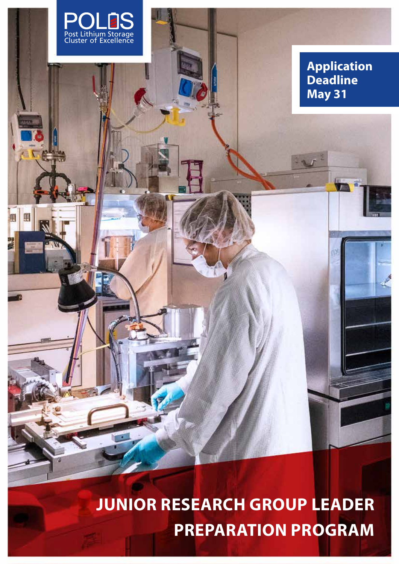

# **JUNIOR RESEARCH GROUP LEADER PREPARATION PROGRAM**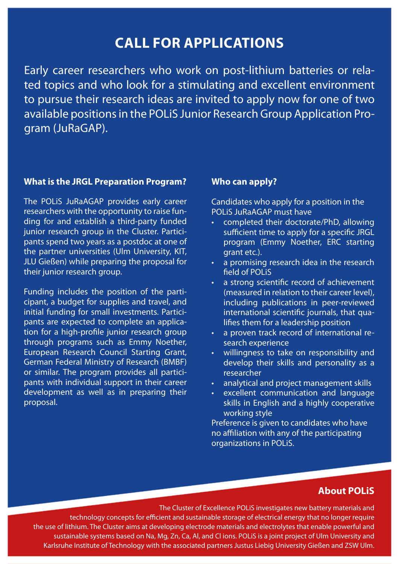# **CALL FOR APPLICATIONS**

Early career researchers who work on post-lithium batteries or related topics and who look for a stimulating and excellent environment to pursue their research ideas are invited to apply now for one of two available positions in the POLiS Junior Research Group Application Program (JuRaGAP).

### **What is the JRGL Preparation Program?**

The POLiS JuRaAGAP provides early career researchers with the opportunity to raise funding for and establish a third-party funded junior research group in the Cluster. Participants spend two years as a postdoc at one of the partner universities (Ulm University, KIT, JLU Gießen) while preparing the proposal for their junior research group.

Funding includes the position of the participant, a budget for supplies and travel, and initial funding for small investments. Participants are expected to complete an application for a high-profile junior research group through programs such as Emmy Noether, European Research Council Starting Grant, German Federal Ministry of Research (BMBF) or similar. The program provides all participants with individual support in their career development as well as in preparing their proposal.

#### **Who can apply?**

Candidates who apply for a position in the POLiS JuRaAGAP must have

- completed their doctorate/PhD, allowing sufficient time to apply for a specific JRGL program (Emmy Noether, ERC starting grant etc.).
- a promising research idea in the research field of POLiS
- a strong scientific record of achievement (measured in relation to their career level), including publications in peer-reviewed international scientific journals, that qualifies them for a leadership position
- a proven track record of international research experience
- willingness to take on responsibility and develop their skills and personality as a researcher
- analytical and project management skills
- excellent communication and language skills in English and a highly cooperative working style

Preference is given to candidates who have no affiliation with any of the participating organizations in POLiS.

# **About POLiS**

The Cluster of Excellence POLiS investigates new battery materials and technology concepts for efficient and sustainable storage of electrical energy that no longer require the use of lithium. The Cluster aims at developing electrode materials and electrolytes that enable powerful and sustainable systems based on Na, Mg, Zn, Ca, Al, and Cl ions. POLiS is a joint project of Ulm University and Karlsruhe Institute of Technology with the associated partners Justus Liebig University Gießen and ZSW Ulm.